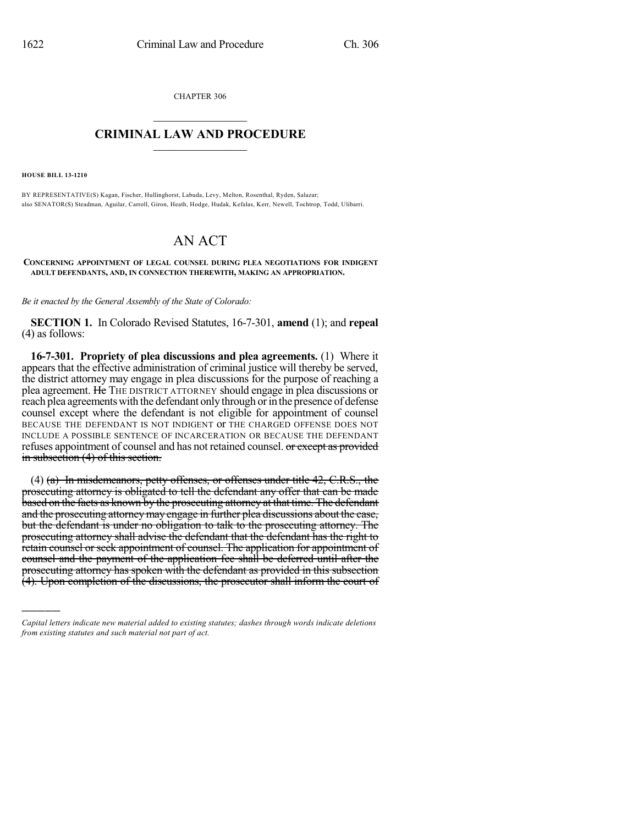CHAPTER 306  $\mathcal{L}_\text{max}$  . The set of the set of the set of the set of the set of the set of the set of the set of the set of the set of the set of the set of the set of the set of the set of the set of the set of the set of the set

## **CRIMINAL LAW AND PROCEDURE**  $\_$

**HOUSE BILL 13-1210**

)))))

BY REPRESENTATIVE(S) Kagan, Fischer, Hullinghorst, Labuda, Levy, Melton, Rosenthal, Ryden, Salazar; also SENATOR(S) Steadman, Aguilar, Carroll, Giron, Heath, Hodge, Hudak, Kefalas, Kerr, Newell, Tochtrop, Todd, Ulibarri.

## AN ACT

**CONCERNING APPOINTMENT OF LEGAL COUNSEL DURING PLEA NEGOTIATIONS FOR INDIGENT ADULT DEFENDANTS, AND, IN CONNECTION THEREWITH, MAKING AN APPROPRIATION.**

*Be it enacted by the General Assembly of the State of Colorado:*

**SECTION 1.** In Colorado Revised Statutes, 16-7-301, **amend** (1); and **repeal** (4) as follows:

**16-7-301. Propriety of plea discussions and plea agreements.** (1) Where it appears that the effective administration of criminal justice will thereby be served, the district attorney may engage in plea discussions for the purpose of reaching a plea agreement. He THE DISTRICT ATTORNEY should engage in plea discussions or reach plea agreements with the defendant only through or in the presence of defense counsel except where the defendant is not eligible for appointment of counsel BECAUSE THE DEFENDANT IS NOT INDIGENT or THE CHARGED OFFENSE DOES NOT INCLUDE A POSSIBLE SENTENCE OF INCARCERATION OR BECAUSE THE DEFENDANT refuses appointment of counsel and has not retained counsel. or except as provided in subsection (4) of this section.

 $(4)$  (a) In misdemeanors, petty offenses, or offenses under title 42, C.R.S., the prosecuting attorney is obligated to tell the defendant any offer that can be made based on the facts as known by the prosecuting attorney at that time. The defendant and the prosecuting attorney may engage in further plea discussions about the case, but the defendant is under no obligation to talk to the prosecuting attorney. The prosecuting attorney shall advise the defendant that the defendant has the right to retain counsel or seek appointment of counsel. The application for appointment of counsel and the payment of the application fee shall be deferred until after the prosecuting attorney has spoken with the defendant as provided in this subsection (4). Upon completion of the discussions, the prosecutor shall inform the court of

*Capital letters indicate new material added to existing statutes; dashes through words indicate deletions from existing statutes and such material not part of act.*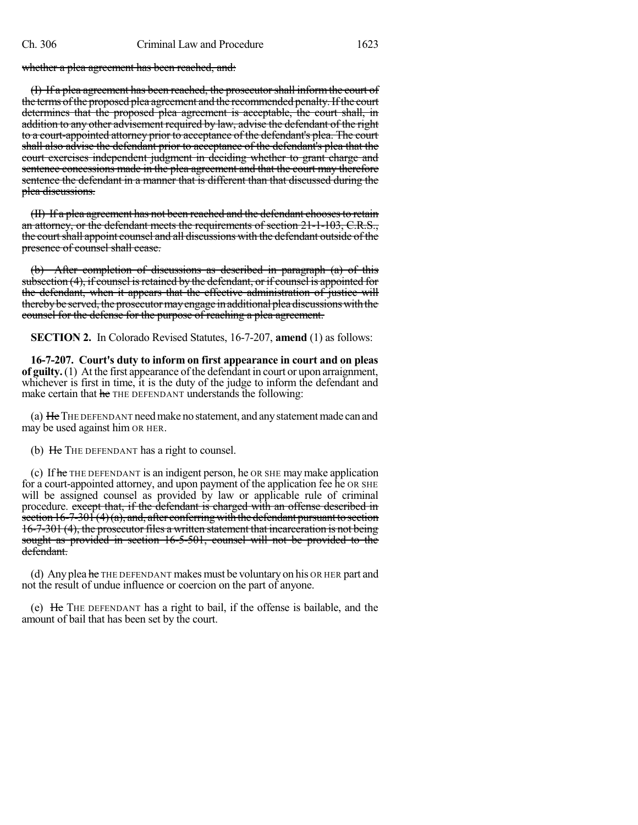whether a plea agreement has been reached, and:

(I) If a plea agreement has been reached, the prosecutorshall informthe court of the terms of the proposed plea agreement and the recommended penalty. If the court determines that the proposed plea agreement is acceptable, the court shall, in addition to any other advisement required by law, advise the defendant of the right to a court-appointed attorney prior to acceptance of the defendant's plea. The court shall also advise the defendant prior to acceptance of the defendant's plea that the court exercises independent judgment in deciding whether to grant charge and sentence concessions made in the plea agreement and that the court may therefore sentence the defendant in a manner that is different than that discussed during the plea discussions.

(II) If a plea agreement has not been reached and the defendant choosesto retain an attorney, or the defendant meets the requirements of section 21-1-103, C.R.S., the court shall appoint counsel and all discussions with the defendant outside of the presence of counsel shall cease.

(b) After completion of discussions as described in paragraph (a) of this subsection (4), if counsel is retained by the defendant, or if counsel is appointed for the defendant, when it appears that the effective administration of justice will thereby be served, the prosecutor may engage in additional pleadiscussions with the counsel for the defense for the purpose of reaching a plea agreement.

**SECTION 2.** In Colorado Revised Statutes, 16-7-207, **amend** (1) as follows:

**16-7-207. Court's duty to inform on first appearance in court and on pleas of guilty.**(1) At the first appearance of the defendant in court or upon arraignment, whichever is first in time, it is the duty of the judge to inform the defendant and make certain that he THE DEFENDANT understands the following:

(a) He THE DEFENDANT need make no statement, and any statement made can and may be used against him OR HER.

(b) He THE DEFENDANT has a right to counsel.

(c) If he THE DEFENDANT is an indigent person, he OR SHE maymake application for a court-appointed attorney, and upon payment of the application fee he OR SHE will be assigned counsel as provided by law or applicable rule of criminal procedure. except that, if the defendant is charged with an offense described in section  $16-7-30\hat{1}(4)(a)$ , and, after conferring with the defendant pursuant to section 16-7-301 (4), the prosecutor files a written statement that incarceration is not being sought as provided in section 16-5-501, counsel will not be provided to the defendant.

(d) Any plea he THE DEFENDANT makes must be voluntary on his OR HER part and not the result of undue influence or coercion on the part of anyone.

(e) He THE DEFENDANT has a right to bail, if the offense is bailable, and the amount of bail that has been set by the court.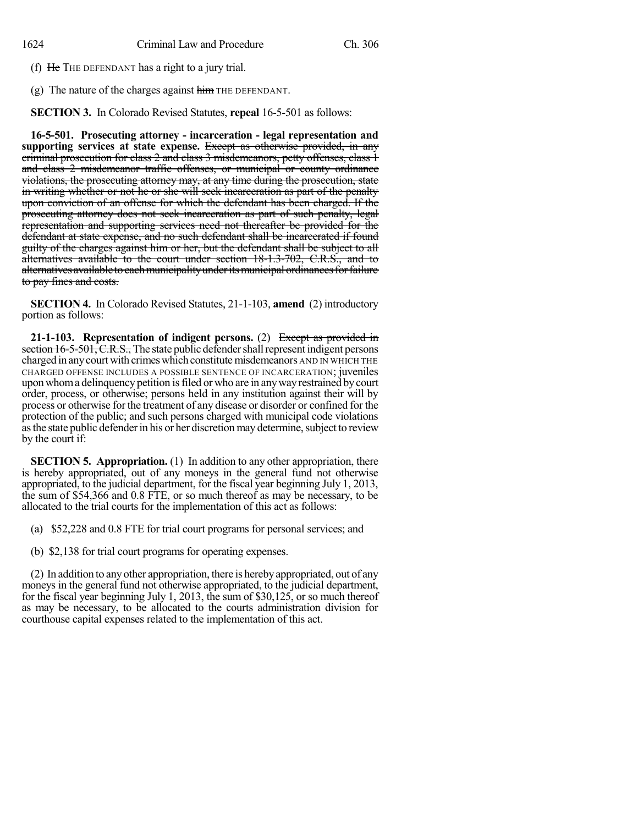(f) He THE DEFENDANT has a right to a jury trial.

(g) The nature of the charges against  $\overline{\text{him}}$  THE DEFENDANT.

**SECTION 3.** In Colorado Revised Statutes, **repeal** 16-5-501 as follows:

**16-5-501. Prosecuting attorney - incarceration - legal representation and supporting services at state expense.** Except as otherwise provided, in any criminal prosecution for class 2 and class 3 misdemeanors, petty offenses, class 1 and class 2 misdemeanor traffic offenses, or municipal or county ordinance violations, the prosecuting attorney may, at any time during the prosecution, state in writing whether or not he or she will seek incarceration as part of the penalty upon conviction of an offense for which the defendant has been charged. If the prosecuting attorney does not seek incarceration as part of such penalty, legal representation and supporting services need not thereafter be provided for the defendant at state expense, and no such defendant shall be incarcerated if found guilty of the charges against him or her, but the defendant shall be subject to all alternatives available to the court under section 18-1.3-702, C.R.S., and to alternatives available to each municipality under its municipal ordinances for failure to pay fines and costs.

**SECTION 4.** In Colorado Revised Statutes, 21-1-103, **amend** (2) introductory portion as follows:

**21-1-103. Representation of indigent persons.** (2) Except as provided in section  $16-5-501$ , C.R.S., The state public defender shall represent indigent persons charged in any court with crimes which constitute misdemeanors AND IN WHICH THE CHARGED OFFENSE INCLUDES A POSSIBLE SENTENCE OF INCARCERATION; juveniles upon whoma delinquency petition isfiled or who are in anywayrestrained bycourt order, process, or otherwise; persons held in any institution against their will by process or otherwise for the treatment of any disease or disorder or confined for the protection of the public; and such persons charged with municipal code violations as the state public defender in his or her discretion may determine, subject to review by the court if:

**SECTION 5. Appropriation.** (1) In addition to any other appropriation, there is hereby appropriated, out of any moneys in the general fund not otherwise appropriated, to the judicial department, for the fiscal year beginning July 1, 2013, the sum of \$54,366 and 0.8 FTE, or so much thereof as may be necessary, to be allocated to the trial courts for the implementation of this act as follows:

- (a) \$52,228 and 0.8 FTE for trial court programs for personal services; and
- (b) \$2,138 for trial court programs for operating expenses.

(2) In addition to anyother appropriation, there is herebyappropriated, out of any moneys in the general fund not otherwise appropriated, to the judicial department, for the fiscal year beginning July 1, 2013, the sum of \$30,125, or so much thereof as may be necessary, to be allocated to the courts administration division for courthouse capital expenses related to the implementation of this act.